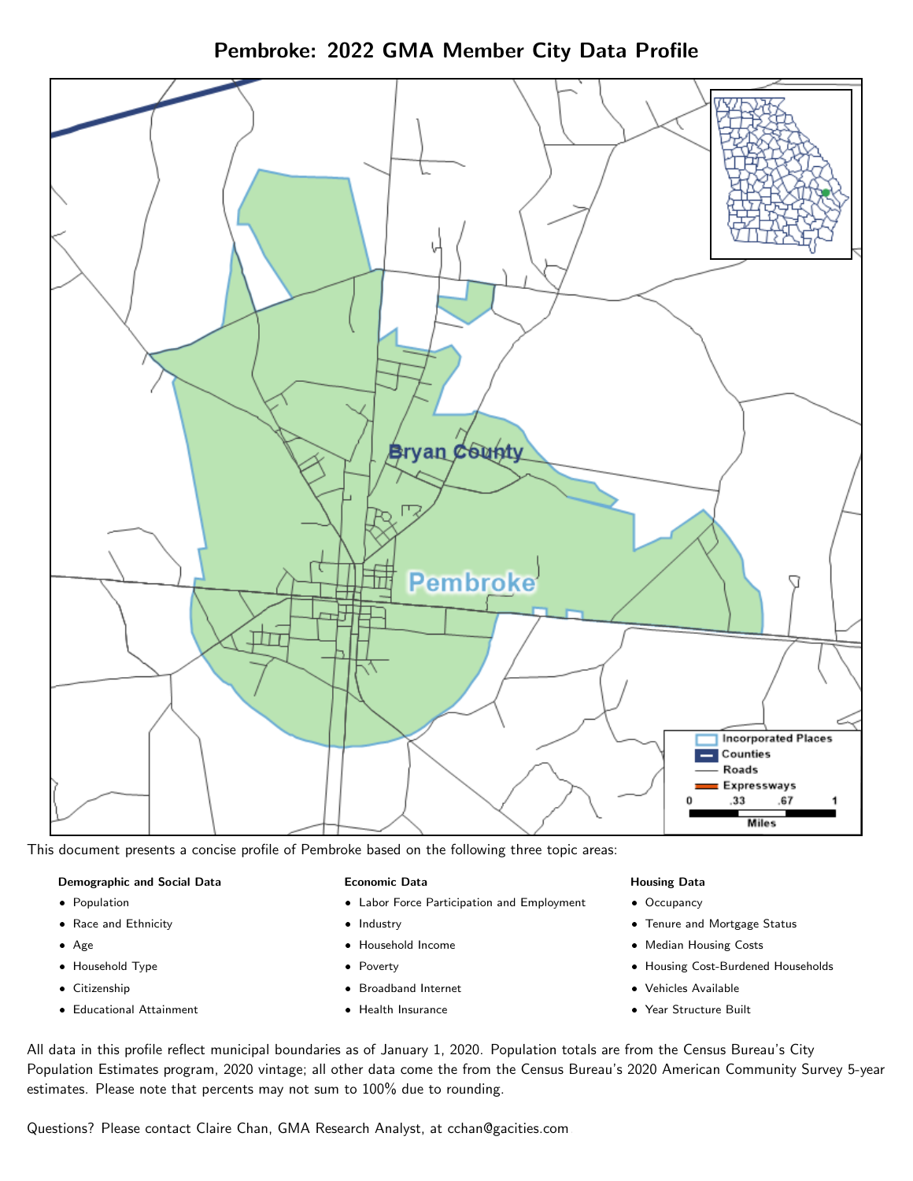Pembroke: 2022 GMA Member City Data Profile



This document presents a concise profile of Pembroke based on the following three topic areas:

#### Demographic and Social Data

- **•** Population
- Race and Ethnicity
- Age
- Household Type
- **Citizenship**
- Educational Attainment

#### Economic Data

- Labor Force Participation and Employment
- Industry
- Household Income
- Poverty
- Broadband Internet
- Health Insurance

### Housing Data

- Occupancy
- Tenure and Mortgage Status
- Median Housing Costs
- Housing Cost-Burdened Households
- Vehicles Available
- Year Structure Built

All data in this profile reflect municipal boundaries as of January 1, 2020. Population totals are from the Census Bureau's City Population Estimates program, 2020 vintage; all other data come the from the Census Bureau's 2020 American Community Survey 5-year estimates. Please note that percents may not sum to 100% due to rounding.

Questions? Please contact Claire Chan, GMA Research Analyst, at [cchan@gacities.com.](mailto:cchan@gacities.com)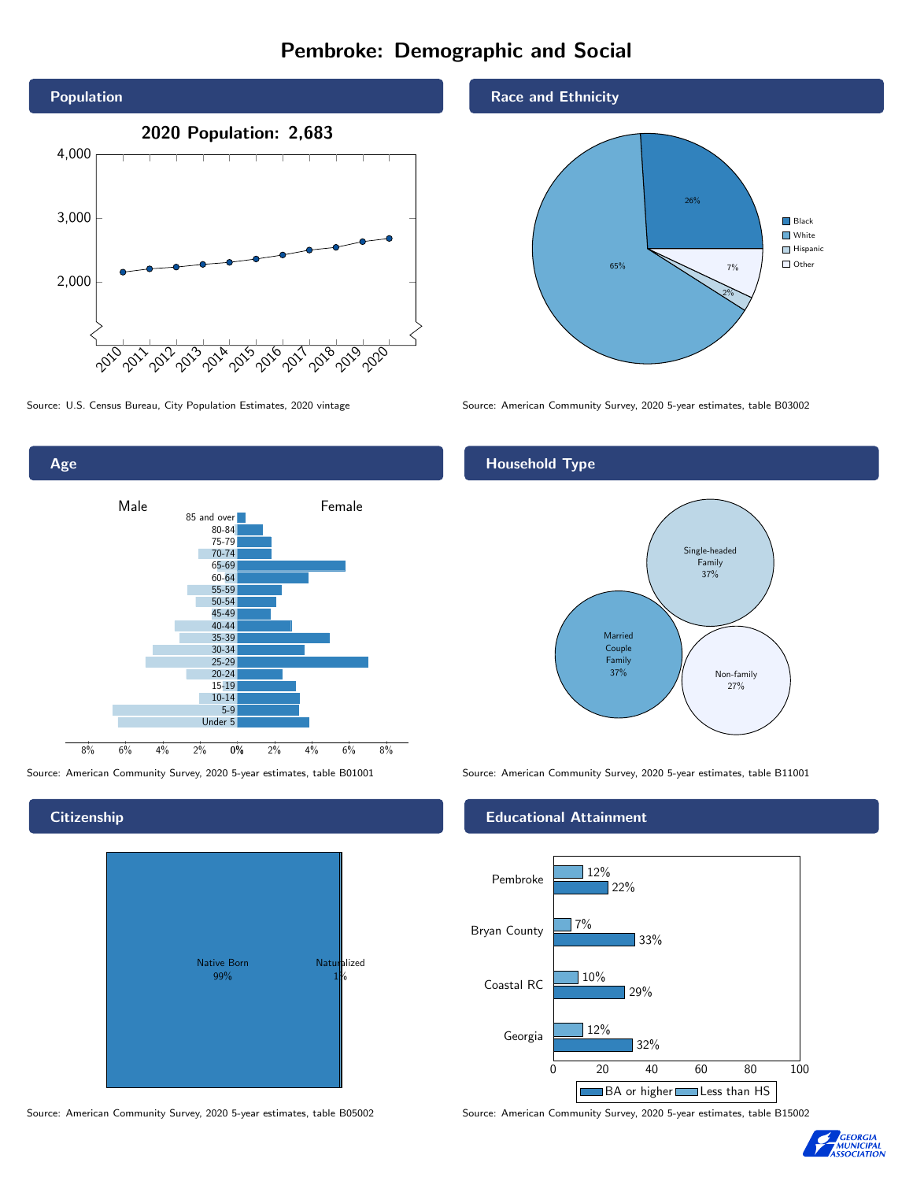# Pembroke: Demographic and Social



Age 0% 2% 4% 6% 8% Male **Female** 8% 6% 4% 2% 85 and over 80-84 75-79 70-74 65-69 60-64 55-59 50-54 45-49 40-44 35-39 30-34 25-29 20-24 15-19  $10-14$ 5-9 Under 5

Native Born 99% Naturalized 1%

#### Source: American Community Survey, 2020 5-year estimates, table B05002 Source: American Community Survey, 2020 5-year estimates, table B15002

Race and Ethnicity



Source: U.S. Census Bureau, City Population Estimates, 2020 vintage Source: American Community Survey, 2020 5-year estimates, table B03002

## Household Type



Source: American Community Survey, 2020 5-year estimates, table B01001 Source: American Community Survey, 2020 5-year estimates, table B11001

### Educational Attainment





**Citizenship**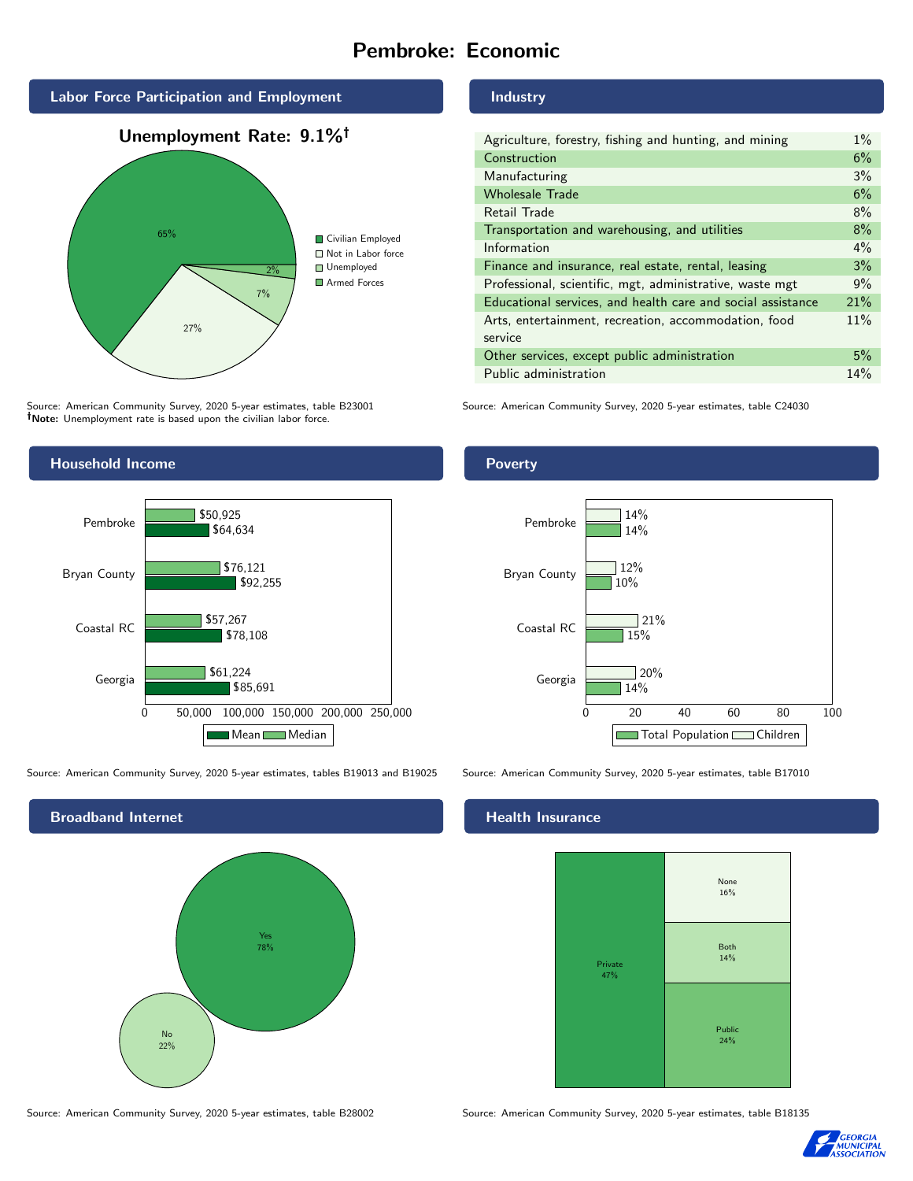## Pembroke: Economic



Source: American Community Survey, 2020 5-year estimates, table B23001 Note: Unemployment rate is based upon the civilian labor force.



Source: American Community Survey, 2020 5-year estimates, tables B19013 and B19025 Source: American Community Survey, 2020 5-year estimates, table B17010



Source: American Community Survey, 2020 5-year estimates, table B28002 Source: American Community Survey, 2020 5-year estimates, table B18135

Industry

Poverty

| Agriculture, forestry, fishing and hunting, and mining      | $1\%$ |
|-------------------------------------------------------------|-------|
| Construction                                                | 6%    |
| Manufacturing                                               | 3%    |
| <b>Wholesale Trade</b>                                      | 6%    |
| Retail Trade                                                | 8%    |
| Transportation and warehousing, and utilities               | 8%    |
| Information                                                 | $4\%$ |
| Finance and insurance, real estate, rental, leasing         | 3%    |
| Professional, scientific, mgt, administrative, waste mgt    | 9%    |
| Educational services, and health care and social assistance | 21%   |
| Arts, entertainment, recreation, accommodation, food        | 11%   |
| service                                                     |       |
| Other services, except public administration                | 5%    |
| Public administration                                       | 14%   |

Source: American Community Survey, 2020 5-year estimates, table C24030



## **Health Insurance**